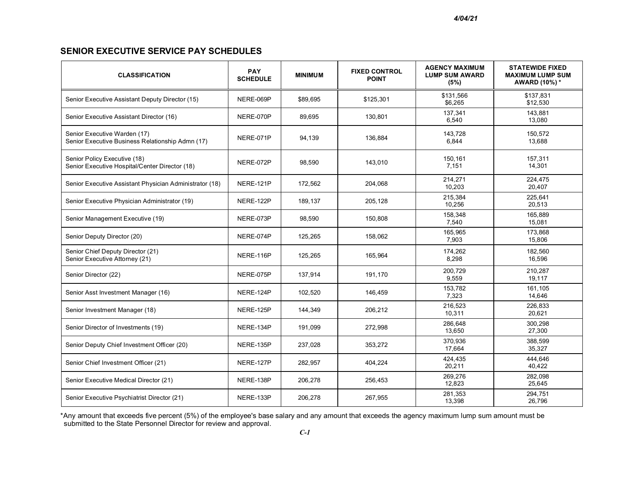# **SENIOR EXECUTIVE SERVICE PAY SCHEDULES**

| <b>CLASSIFICATION</b>                                                            | <b>PAY</b><br><b>SCHEDULE</b> | <b>MINIMUM</b> | <b>FIXED CONTROL</b><br><b>POINT</b> | <b>AGENCY MAXIMUM</b><br><b>LUMP SUM AWARD</b><br>(5%) | <b>STATEWIDE FIXED</b><br><b>MAXIMUM LUMP SUM</b><br>AWARD (10%) * |
|----------------------------------------------------------------------------------|-------------------------------|----------------|--------------------------------------|--------------------------------------------------------|--------------------------------------------------------------------|
| Senior Executive Assistant Deputy Director (15)                                  | NERE-069P                     | \$89,695       | \$125,301                            | \$131,566<br>\$6,265                                   | \$137,831<br>\$12,530                                              |
| Senior Executive Assistant Director (16)                                         | NERE-070P                     | 89,695         | 130,801                              | 137.341<br>6,540                                       | 143.881<br>13,080                                                  |
| Senior Executive Warden (17)<br>Senior Executive Business Relationship Admn (17) | NERE-071P                     | 94,139         | 136,884                              | 143,728<br>6,844                                       | 150,572<br>13,688                                                  |
| Senior Policy Executive (18)<br>Senior Executive Hospital/Center Director (18)   | NERE-072P                     | 98,590         | 143,010                              | 150,161<br>7,151                                       | 157,311<br>14,301                                                  |
| Senior Executive Assistant Physician Administrator (18)                          | NERE-121P                     | 172,562        | 204,068                              | 214,271<br>10,203                                      | 224,475<br>20,407                                                  |
| Senior Executive Physician Administrator (19)                                    | NERE-122P                     | 189,137        | 205,128                              | 215,384<br>10,256                                      | 225,641<br>20,513                                                  |
| Senior Management Executive (19)                                                 | NERE-073P                     | 98,590         | 150,808                              | 158.348<br>7,540                                       | 165.889<br>15,081                                                  |
| Senior Deputy Director (20)                                                      | NERE-074P                     | 125,265        | 158,062                              | 165,965<br>7,903                                       | 173,868<br>15,806                                                  |
| Senior Chief Deputy Director (21)<br>Senior Executive Attorney (21)              | NERE-116P                     | 125,265        | 165,964                              | 174.262<br>8,298                                       | 182,560<br>16,596                                                  |
| Senior Director (22)                                                             | NERE-075P                     | 137,914        | 191,170                              | 200.729<br>9,559                                       | 210,287<br>19,117                                                  |
| Senior Asst Investment Manager (16)                                              | NERE-124P                     | 102,520        | 146,459                              | 153,782<br>7,323                                       | 161,105<br>14,646                                                  |
| Senior Investment Manager (18)                                                   | NERE-125P                     | 144,349        | 206,212                              | 216,523<br>10,311                                      | 226,833<br>20,621                                                  |
| Senior Director of Investments (19)                                              | NERE-134P                     | 191,099        | 272,998                              | 286,648<br>13,650                                      | 300,298<br>27,300                                                  |
| Senior Deputy Chief Investment Officer (20)                                      | NERE-135P                     | 237,028        | 353,272                              | 370,936<br>17,664                                      | 388,599<br>35,327                                                  |
| Senior Chief Investment Officer (21)                                             | NERE-127P                     | 282,957        | 404,224                              | 424.435<br>20,211                                      | 444.646<br>40,422                                                  |
| Senior Executive Medical Director (21)                                           | NERE-138P                     | 206,278        | 256,453                              | 269,276<br>12,823                                      | 282,098<br>25,645                                                  |
| Senior Executive Psychiatrist Director (21)                                      | NERE-133P                     | 206,278        | 267,955                              | 281,353<br>13,398                                      | 294.751<br>26,796                                                  |

\*Any amount that exceeds five percent (5%) of the employee's base salary and any amount that exceeds the agency maximum lump sum amount must be submitted to the State Personnel Director for review and approval.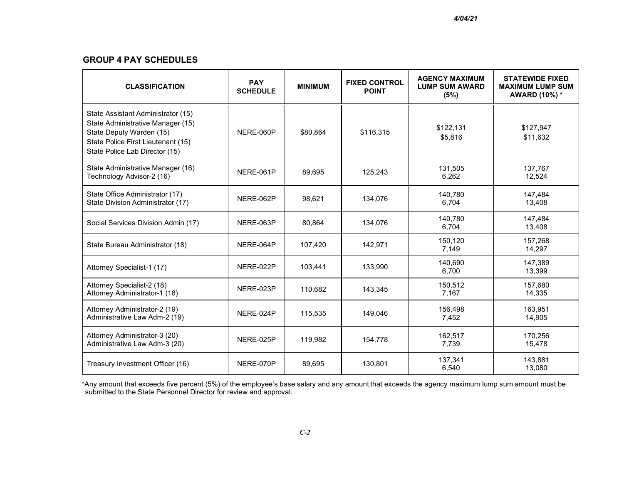## **GROUP 4 PAY SCHEDULES**

| <b>CLASSIFICATION</b>                                                                                                                                                       | <b>PAY</b><br><b>SCHEDULE</b> | <b>MINIMUM</b> | <b>FIXED CONTROL</b><br><b>POINT</b> | <b>AGENCY MAXIMUM</b><br><b>LUMP SUM AWARD</b><br>(5%) | <b>STATEWIDE FIXED</b><br><b>MAXIMUM LUMP SUM</b><br>AWARD (10%) * |
|-----------------------------------------------------------------------------------------------------------------------------------------------------------------------------|-------------------------------|----------------|--------------------------------------|--------------------------------------------------------|--------------------------------------------------------------------|
| State Assistant Administrator (15)<br>State Administrative Manager (15)<br>State Deputy Warden (15)<br>State Police First Lieutenant (15)<br>State Police Lab Director (15) | NERE-060P                     | \$80,864       | \$116,315                            | \$122,131<br>\$5,816                                   | \$127,947<br>\$11,632                                              |
| State Administrative Manager (16)<br>Technology Advisor-2 (16)                                                                                                              | NERE-061P                     | 89,695         | 125,243                              | 131,505<br>6,262                                       | 137,767<br>12,524                                                  |
| State Office Administrator (17)<br>State Division Administrator (17)                                                                                                        | NERE-062P                     | 98,621         | 134,076                              | 140,780<br>6,704                                       | 147,484<br>13,408                                                  |
| Social Services Division Admin (17)                                                                                                                                         | NERE-063P                     | 80.864         | 134,076                              | 140.780<br>6,704                                       | 147,484<br>13,408                                                  |
| State Bureau Administrator (18)                                                                                                                                             | NERE-064P                     | 107,420        | 142,971                              | 150,120<br>7,149                                       | 157,268<br>14,297                                                  |
| Attorney Specialist-1 (17)                                                                                                                                                  | NERE-022P                     | 103,441        | 133,990                              | 140,690<br>6,700                                       | 147,389<br>13,399                                                  |
| Attorney Specialist-2 (18)<br>Attorney Administrator-1 (18)                                                                                                                 | NERE-023P                     | 110.682        | 143,345                              | 150,512<br>7,167                                       | 157,680<br>14,335                                                  |
| Attorney Administrator-2 (19)<br>Administrative Law Adm-2 (19)                                                                                                              | NERE-024P                     | 115,535        | 149,046                              | 156.498<br>7,452                                       | 163.951<br>14,905                                                  |
| Attorney Administrator-3 (20)<br>Administrative Law Adm-3 (20)                                                                                                              | NERE-025P                     | 119,982        | 154,778                              | 162,517<br>7,739                                       | 170.256<br>15,478                                                  |
| Treasury Investment Officer (16)                                                                                                                                            | NERE-070P                     | 89,695         | 130,801                              | 137,341<br>6,540                                       | 143,881<br>13,080                                                  |

\*Any amount that exceeds five percent (5%) of the employee's base salary and any amount that exceeds the agency maximum lump sum amount must be submitted to the State Personnel Director for review and approval.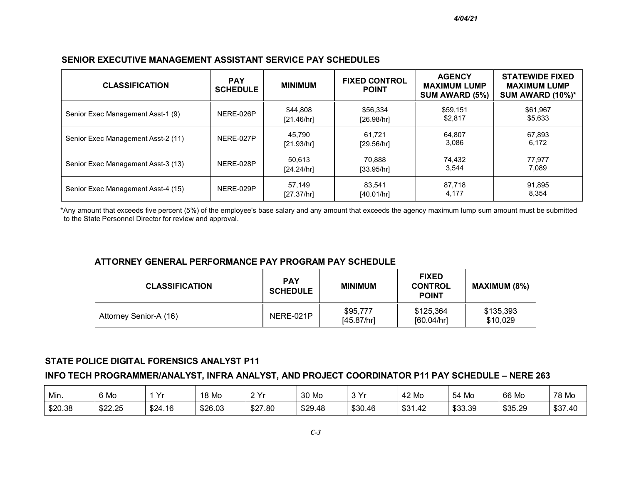## **SENIOR EXECUTIVE MANAGEMENT ASSISTANT SERVICE PAY SCHEDULES**

| <b>CLASSIFICATION</b>              | <b>PAY</b><br><b>SCHEDULE</b> | <b>MINIMUM</b>         | <b>FIXED CONTROL</b><br><b>POINT</b> | <b>AGENCY</b><br><b>MAXIMUM LUMP</b><br>SUM AWARD (5%) | <b>STATEWIDE FIXED</b><br><b>MAXIMUM LUMP</b><br><b>SUM AWARD (10%)*</b> |
|------------------------------------|-------------------------------|------------------------|--------------------------------------|--------------------------------------------------------|--------------------------------------------------------------------------|
| Senior Exec Management Asst-1 (9)  | NERE-026P                     | \$44,808<br>[21.46/hr] | \$56,334<br>[26.98/hr]               | \$59,151<br>\$2,817                                    | \$61,967<br>\$5,633                                                      |
| Senior Exec Management Asst-2 (11) | NERE-027P                     | 45.790<br>[21.93/hr]   | 61.721<br>[29.56/hr]                 | 64,807<br>3,086                                        | 67.893<br>6,172                                                          |
| Senior Exec Management Asst-3 (13) | NERE-028P                     | 50.613<br>[24.24/hr]   | 70.888<br>[33.95/hr]                 | 74.432<br>3.544                                        | 77,977<br>7.089                                                          |
| Senior Exec Management Asst-4 (15) | NERE-029P                     | 57.149<br>[27.37/hr]   | 83.541<br>[40.01/hr]                 | 87,718<br>4,177                                        | 91.895<br>8,354                                                          |

\*Any amount that exceeds five percent (5%) of the employee's base salary and any amount that exceeds the agency maximum lump sum amount must be submitted to the State Personnel Director for review and approval.

## **ATTORNEY GENERAL PERFORMANCE PAY PROGRAM PAY SCHEDULE**

| <b>CLASSIFICATION</b>  | <b>PAY</b><br><b>SCHEDULE</b> | <b>MINIMUM</b>         | <b>FIXED</b><br><b>CONTROL</b><br><b>POINT</b> | <b>MAXIMUM (8%)</b>   |
|------------------------|-------------------------------|------------------------|------------------------------------------------|-----------------------|
| Attorney Senior-A (16) | NERE-021P                     | \$95,777<br>[45.87/hr] | \$125,364<br>[60.04/hr]                        | \$135,393<br>\$10,029 |

#### **STATE POLICE DIGITAL FORENSICS ANALYST P11**

#### **INFO TECH PROGRAMMER/ANALYST, INFRA ANALYST, AND PROJECT COORDINATOR P11 PAY SCHEDULE – NERE 263**

| Min.    | 6 Mo    | \/.     | 18 Mo   | $\Omega$<br><u>_</u> | 30 Mo   | ີ       | 42 Mo<br>4 | Mo<br>54 | 66 Mo   | 78 Mo                 |
|---------|---------|---------|---------|----------------------|---------|---------|------------|----------|---------|-----------------------|
| \$20.38 | \$22.25 | \$24.16 | \$26.03 | \$27.80              | \$29.48 | \$30.46 | \$31.42    | \$33.39  | \$35.29 | ホっフ<br>.40<br>. ، ن ټ |